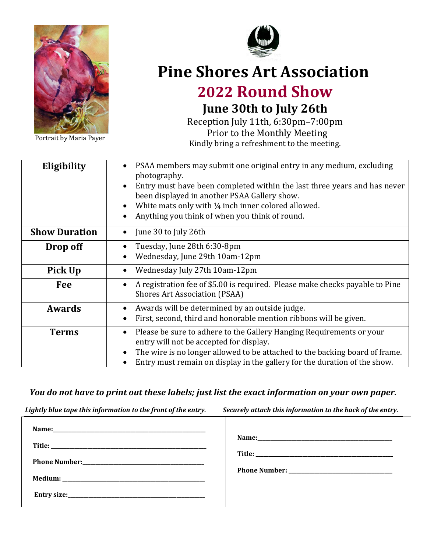

Portrait by Maria Payer



## **Pine Shores Art Association 2022 Round Show**

# **June 30th to July 26th**

Reception July 11th, 6:30pm–7:00pm Prior to the Monthly Meeting Kindly bring a refreshment to the meeting.

| Eligibility          | PSAA members may submit one original entry in any medium, excluding<br>photography.<br>Entry must have been completed within the last three years and has never<br>been displayed in another PSAA Gallery show.<br>White mats only with 1/4 inch inner colored allowed.<br>Anything you think of when you think of round. |
|----------------------|---------------------------------------------------------------------------------------------------------------------------------------------------------------------------------------------------------------------------------------------------------------------------------------------------------------------------|
| <b>Show Duration</b> | June 30 to July 26th                                                                                                                                                                                                                                                                                                      |
| Drop off             | Tuesday, June 28th 6:30-8pm<br>Wednesday, June 29th 10am-12pm                                                                                                                                                                                                                                                             |
| Pick Up              | Wednesday July 27th 10am-12pm                                                                                                                                                                                                                                                                                             |
| Fee                  | A registration fee of \$5.00 is required. Please make checks payable to Pine<br><b>Shores Art Association (PSAA)</b>                                                                                                                                                                                                      |
| <b>Awards</b>        | Awards will be determined by an outside judge.<br>First, second, third and honorable mention ribbons will be given.                                                                                                                                                                                                       |
| <b>Terms</b>         | Please be sure to adhere to the Gallery Hanging Requirements or your<br>entry will not be accepted for display.<br>The wire is no longer allowed to be attached to the backing board of frame.<br>Entry must remain on display in the gallery for the duration of the show.                                               |

### *You do not have to print out these labels; just list the exact information on your own paper.*

*Lightly blue tape this information to the front of the entry. Securely attach this information to the back of the entry.*